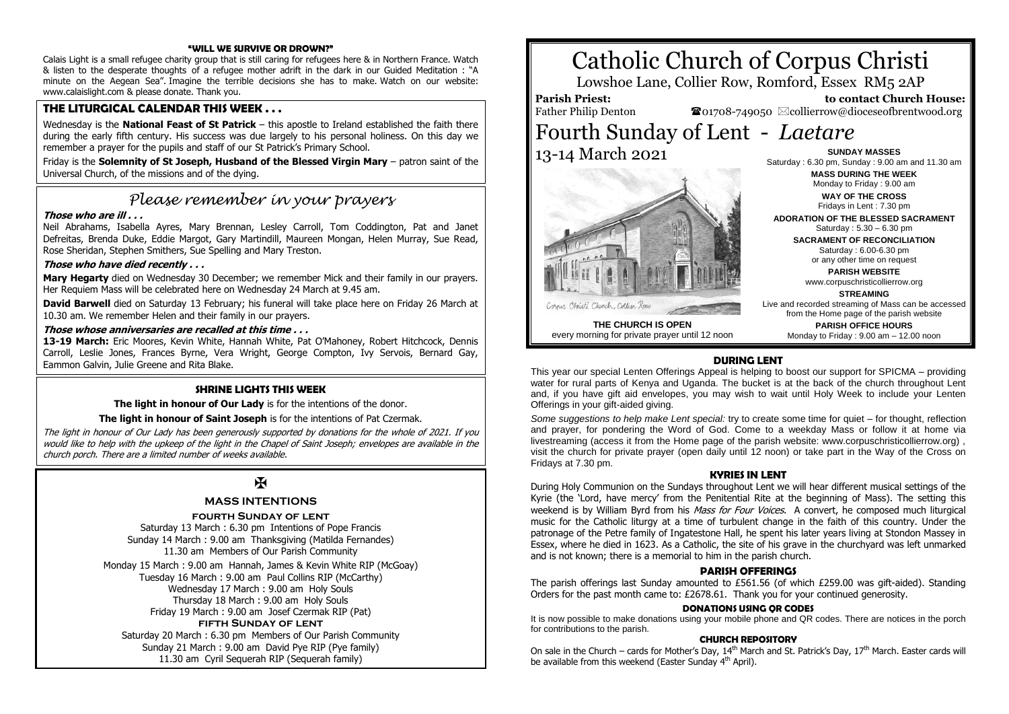#### **"WILL WE SURVIVE OR DROWN?"**

Calais Light is a small refugee charity group that is still caring for refugees here & in Northern France. Watch & listen to the desperate thoughts of a refugee mother adrift in the dark in our Guided Meditation : "A minute on the Aegean Sea". Imagine the terrible decisions she has to make. Watch on our website: www.calaislight.com & please donate. Thank you.

### **THE LITURGICAL CALENDAR THIS WEEK . . .**

Wednesday is the **National Feast of St Patrick** – this apostle to Ireland established the faith there during the early fifth century. His success was due largely to his personal holiness. On this day we remember a prayer for the pupils and staff of our St Patrick's Primary School.

Friday is the **Solemnity of St Joseph, Husband of the Blessed Virgin Mary** – patron saint of the Universal Church, of the missions and of the dying.

# *Please remember in your prayers*

#### **Those who are ill . . .**

Neil Abrahams, Isabella Ayres, Mary Brennan, Lesley Carroll, Tom Coddington, Pat and Janet Defreitas, Brenda Duke, Eddie Margot, Gary Martindill, Maureen Mongan, Helen Murray, Sue Read, Rose Sheridan, Stephen Smithers, Sue Spelling and Mary Treston.

#### **Those who have died recently . . .**

**Mary Hegarty** died on Wednesday 30 December; we remember Mick and their family in our prayers. Her Requiem Mass will be celebrated here on Wednesday 24 March at 9.45 am.

**David Barwell** died on Saturday 13 February; his funeral will take place here on Friday 26 March at 10.30 am. We remember Helen and their family in our prayers.

#### **Those whose anniversaries are recalled at this time . . .**

**13-19 March:** Eric Moores, Kevin White, Hannah White, Pat O'Mahoney, Robert Hitchcock, Dennis Carroll, Leslie Jones, Frances Byrne, Vera Wright, George Compton, Ivy Servois, Bernard Gay, Eammon Galvin, Julie Greene and Rita Blake.

#### **SHRINE LIGHTS THIS WEEK**

**The light in honour of Our Lady** is for the intentions of the donor.

#### **The light in honour of Saint Joseph** is for the intentions of Pat Czermak.

The light in honour of Our Lady has been generously supported by donations for the whole of 2021. If you would like to help with the upkeep of the light in the Chapel of Saint Joseph; envelopes are available in the church porch. There are a limited number of weeks available.

# $\overline{\mathbf{X}}$

#### **MASS INTENTIONS**

#### **fourth Sunday of lent**

Saturday 13 March : 6.30 pm Intentions of Pope Francis Sunday 14 March : 9.00 am Thanksgiving (Matilda Fernandes) 11.30 am Members of Our Parish Community

Monday 15 March : 9.00 am Hannah, James & Kevin White RIP (McGoay) Tuesday 16 March : 9.00 am Paul Collins RIP (McCarthy) Wednesday 17 March : 9.00 am Holy Souls Thursday 18 March : 9.00 am Holy Souls Friday 19 March : 9.00 am Josef Czermak RIP (Pat) **fifth Sunday of lent** Saturday 20 March : 6.30 pm Members of Our Parish Community Sunday 21 March : 9.00 am David Pye RIP (Pye family) 11.30 am Cyril Sequerah RIP (Sequerah family)

# Catholic Church of Corpus Christi

Lowshoe Lane, Collier Row, Romford, Essex RM5 2AP

## **Parish Priest:**

Father Philip Denton

 **to contact Church House:**  $\bullet$ 01708-749050  $\boxtimes$ collierrow@dioceseofbrentwood.org

Fourth Sunday of Lent - *Laetare* 13-14 March 2021



**THE CHURCH IS OPEN** every morning for private prayer until 12 noon

**SUNDAY MASSES** Saturday : 6.30 pm, Sunday : 9.00 am and 11.30 am **MASS DURING THE WEEK** Monday to Friday : 9.00 am **WAY OF THE CROSS** Fridays in Lent : 7.30 pm

**ADORATION OF THE BLESSED SACRAMENT** Saturday : 5.30 – 6.30 pm

**SACRAMENT OF RECONCILIATION** Saturday : 6.00-6.30 pm or any other time on request

> **PARISH WEBSITE** www.corpuschristicollierrow.org

> > **STREAMING**

Live and recorded streaming of Mass can be accessed from the Home page of the parish website

**PARISH OFFICE HOURS** Monday to Friday : 9.00 am – 12.00 noon

#### **DURING LENT**

This year our special Lenten Offerings Appeal is helping to boost our support for SPICMA – providing water for rural parts of Kenya and Uganda. The bucket is at the back of the church throughout Lent and, if you have gift aid envelopes, you may wish to wait until Holy Week to include your Lenten Offerings in your gift-aided giving.

*Some suggestions to help make Lent special:* try to create some time for quiet – for thought, reflection and prayer, for pondering the Word of God. Come to a weekday Mass or follow it at home via livestreaming (access it from the Home page of the parish website: www.corpuschristicollierrow.org) , visit the church for private prayer (open daily until 12 noon) or take part in the Way of the Cross on Fridays at 7.30 pm.

#### **KYRIES IN LENT**

During Holy Communion on the Sundays throughout Lent we will hear different musical settings of the Kyrie (the 'Lord, have mercy' from the Penitential Rite at the beginning of Mass). The setting this weekend is by William Byrd from his Mass for Four Voices. A convert, he composed much liturgical music for the Catholic liturgy at a time of turbulent change in the faith of this country. Under the patronage of the Petre family of Ingatestone Hall, he spent his later years living at Stondon Massey in Essex, where he died in 1623. As a Catholic, the site of his grave in the churchyard was left unmarked and is not known; there is a memorial to him in the parish church.

#### **PARISH OFFERINGS**

The parish offerings last Sunday amounted to £561.56 (of which £259.00 was gift-aided). Standing Orders for the past month came to: £2678.61. Thank you for your continued generosity.

#### **DONATIONS USING QR CODES**

It is now possible to make donations using your mobile phone and QR codes. There are notices in the porch for contributions to the parish.

#### **CHURCH REPOSITORY**

On sale in the Church – cards for Mother's Day,  $14^{\text{th}}$  March and St. Patrick's Day,  $17^{\text{th}}$  March. Easter cards will be available from this weekend (Easter Sunday 4<sup>th</sup> April).